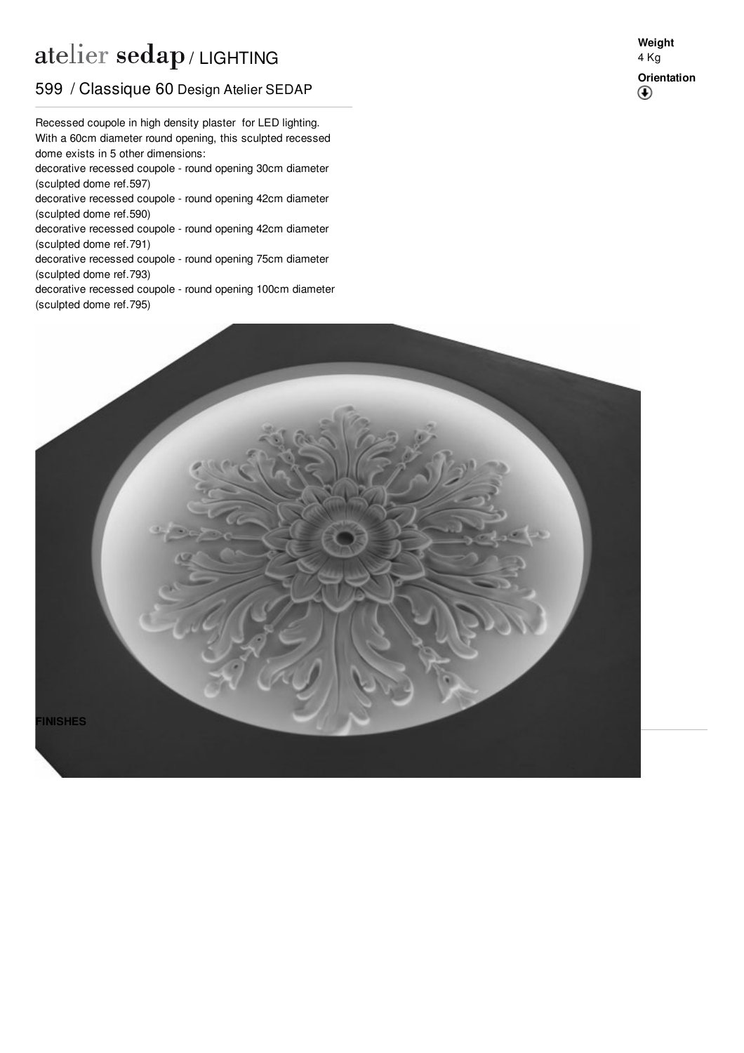## atelier sedap / LIGHTING

## 599 / Classique 60 Design Atelier SEDAP

With a 60cm diameter round opening, this sculpted recessed Recessed coupole in high density plaster for LED lighting. dome exists in 5 other dimensions:

decorative recessed coupole - round opening 30cm diameter (sculpted dome ref[.597](http://www.sedap.com/lighting/en/produits/view/597))

decorative recessed coupole - round opening 42cm diameter (sculpted dome ref[.590](http://www.sedap.com/lighting/en/produits/view/590))

decorative recessed coupole - round opening 42cm diameter (sculpted dome ref[.791](http://www.sedap.com/lighting/en/produits/view/791))

decorative recessed coupole - round opening 75cm diameter (sculpted dome ref[.793](http://www.sedap.com/lighting/en/produits/view/793))

decorative recessed coupole - round opening 100cm diameter (sculpted dome ref[.795](http://www.sedap.com/lighting/en/produits/view/795))